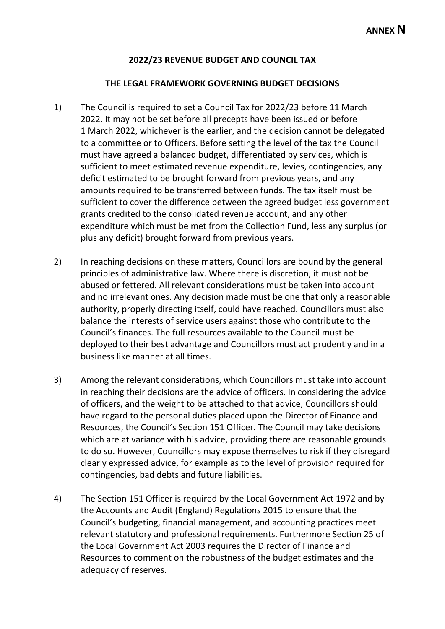## **2022/23 REVENUE BUDGET AND COUNCIL TAX**

## **THE LEGAL FRAMEWORK GOVERNING BUDGET DECISIONS**

- 1) The Council is required to set a Council Tax for 2022/23 before 11 March 2022. It may not be set before all precepts have been issued or before 1 March 2022, whichever is the earlier, and the decision cannot be delegated to a committee or to Officers. Before setting the level of the tax the Council must have agreed a balanced budget, differentiated by services, which is sufficient to meet estimated revenue expenditure, levies, contingencies, any deficit estimated to be brought forward from previous years, and any amounts required to be transferred between funds. The tax itself must be sufficient to cover the difference between the agreed budget less government grants credited to the consolidated revenue account, and any other expenditure which must be met from the Collection Fund, less any surplus (or plus any deficit) brought forward from previous years.
- 2) In reaching decisions on these matters, Councillors are bound by the general principles of administrative law. Where there is discretion, it must not be abused or fettered. All relevant considerations must be taken into account and no irrelevant ones. Any decision made must be one that only a reasonable authority, properly directing itself, could have reached. Councillors must also balance the interests of service users against those who contribute to the Council's finances. The full resources available to the Council must be deployed to their best advantage and Councillors must act prudently and in a business like manner at all times.
- 3) Among the relevant considerations, which Councillors must take into account in reaching their decisions are the advice of officers. In considering the advice of officers, and the weight to be attached to that advice, Councillors should have regard to the personal duties placed upon the Director of Finance and Resources, the Council's Section 151 Officer. The Council may take decisions which are at variance with his advice, providing there are reasonable grounds to do so. However, Councillors may expose themselves to risk if they disregard clearly expressed advice, for example as to the level of provision required for contingencies, bad debts and future liabilities.
- 4) The Section 151 Officer is required by the Local Government Act 1972 and by the Accounts and Audit (England) Regulations 2015 to ensure that the Council's budgeting, financial management, and accounting practices meet relevant statutory and professional requirements. Furthermore Section 25 of the Local Government Act 2003 requires the Director of Finance and Resources to comment on the robustness of the budget estimates and the adequacy of reserves.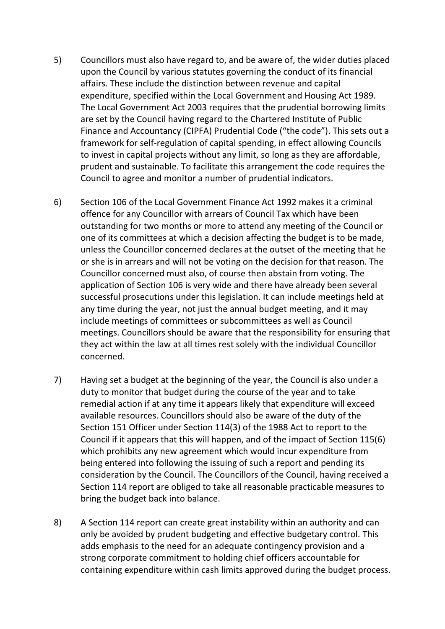- 5) Councillors must also have regard to, and be aware of, the wider duties placed upon the Council by various statutes governing the conduct of its financial affairs. These include the distinction between revenue and capital expenditure, specified within the Local Government and Housing Act 1989. The Local Government Act 2003 requires that the prudential borrowing limits are set by the Council having regard to the Chartered Institute of Public Finance and Accountancy (CIPFA) Prudential Code ("the code"). This sets out a framework for self-regulation of capital spending, in effect allowing Councils to invest in capital projects without any limit, so long as they are affordable, prudent and sustainable. To facilitate this arrangement the code requires the Council to agree and monitor a number of prudential indicators.
- 6) Section 106 of the Local Government Finance Act 1992 makes it a criminal offence for any Councillor with arrears of Council Tax which have been outstanding for two months or more to attend any meeting of the Council or one of its committees at which a decision affecting the budget is to be made, unless the Councillor concerned declares at the outset of the meeting that he or she is in arrears and will not be voting on the decision for that reason. The Councillor concerned must also, of course then abstain from voting. The application of Section 106 is very wide and there have already been several successful prosecutions under this legislation. It can include meetings held at any time during the year, not just the annual budget meeting, and it may include meetings of committees or subcommittees as well as Council meetings. Councillors should be aware that the responsibility for ensuring that they act within the law at all times rest solely with the individual Councillor concerned.
- 7) Having set a budget at the beginning of the year, the Council is also under a duty to monitor that budget during the course of the year and to take remedial action if at any time it appears likely that expenditure will exceed available resources. Councillors should also be aware of the duty of the Section 151 Officer under Section 114(3) of the 1988 Act to report to the Council if it appears that this will happen, and of the impact of Section 115(6) which prohibits any new agreement which would incur expenditure from being entered into following the issuing of such a report and pending its consideration by the Council. The Councillors of the Council, having received a Section 114 report are obliged to take all reasonable practicable measures to bring the budget back into balance.
- 8) A Section 114 report can create great instability within an authority and can only be avoided by prudent budgeting and effective budgetary control. This adds emphasis to the need for an adequate contingency provision and a strong corporate commitment to holding chief officers accountable for containing expenditure within cash limits approved during the budget process.